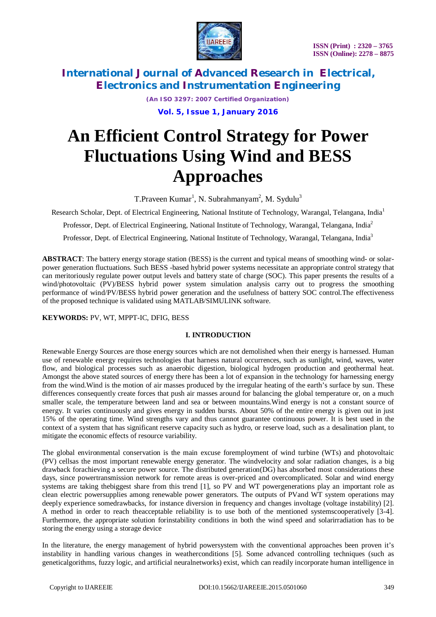

*(An ISO 3297: 2007 Certified Organization)*

**Vol. 5, Issue 1, January 2016**

# **An Efficient Control Strategy for Power Fluctuations Using Wind and BESS Approaches**

T.Praveen Kumar<sup>1</sup>, N. Subrahmanyam<sup>2</sup>, M. Sydulu<sup>3</sup>

Research Scholar, Dept. of Electrical Engineering, National Institute of Technology, Warangal, Telangana, India<sup>1</sup>

Professor, Dept. of Electrical Engineering, National Institute of Technology, Warangal, Telangana, India<sup>2</sup>

Professor, Dept. of Electrical Engineering, National Institute of Technology, Warangal, Telangana, India<sup>3</sup>

**ABSTRACT**: The battery energy storage station (BESS) is the current and typical means of smoothing wind- or solarpower generation fluctuations. Such BESS -based hybrid power systems necessitate an appropriate control strategy that can meritoriously regulate power output levels and battery state of charge (SOC). This paper presents the results of a wind/photovoltaic (PV)/BESS hybrid power system simulation analysis carry out to progress the smoothing performance of wind/PV/BESS hybrid power generation and the usefulness of battery SOC control.The effectiveness of the proposed technique is validated using MATLAB/SIMULINK software.

**KEYWORDS:** PV, WT, MPPT-IC, DFIG, BESS

## **I. INTRODUCTION**

Renewable Energy Sources are those energy sources which are not demolished when their energy is harnessed. Human use of renewable energy requires technologies that harness natural occurrences, such as sunlight, wind, waves, water flow, and biological processes such as anaerobic digestion, biological hydrogen production and geothermal heat. Amongst the above stated sources of energy there has been a lot of expansion in the technology for harnessing energy from the wind.Wind is the motion of air masses produced by the irregular heating of the earth's surface by sun. These differences consequently create forces that push air masses around for balancing the global temperature or, on a much smaller scale, the temperature between land and sea or between mountains.Wind energy is not a constant source of energy. It varies continuously and gives energy in sudden bursts. About 50% of the entire energy is given out in just 15% of the operating time. Wind strengths vary and thus cannot guarantee continuous power. It is best used in the context of a system that has significant reserve capacity such as hydro, or reserve load, such as a desalination plant, to mitigate the economic effects of resource variability.

The global environmental conservation is the main excuse foremployment of wind turbine (WTs) and photovoltaic (PV) cellsas the most important renewable energy generator. The windvelocity and solar radiation changes, is a big drawback forachieving a secure power source. The distributed generation(DG) has absorbed most considerations these days, since powertransmission network for remote areas is over-priced and overcomplicated. Solar and wind energy systems are taking thebiggest share from this trend [1], so PV and WT powergenerations play an important role as clean electric powersupplies among renewable power generators. The outputs of PVand WT system operations may deeply experience somedrawbacks, for instance diversion in frequency and changes involtage (voltage instability) [2]. A method in order to reach theacceptable reliability is to use both of the mentioned systemscooperatively [3-4]. Furthermore, the appropriate solution forinstability conditions in both the wind speed and solarirradiation has to be storing the energy using a storage device

In the literature, the energy management of hybrid powersystem with the conventional approaches been proven it's instability in handling various changes in weatherconditions [5]. Some advanced controlling techniques (such as geneticalgorithms, fuzzy logic, and artificial neuralnetworks) exist, which can readily incorporate human intelligence in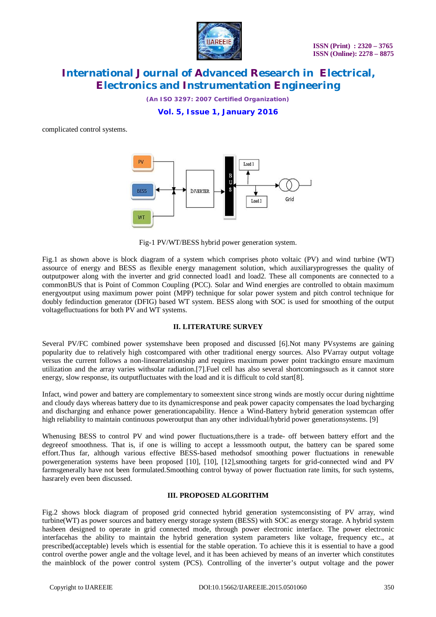

*(An ISO 3297: 2007 Certified Organization)*

**Vol. 5, Issue 1, January 2016**

complicated control systems.



Fig-1 PV/WT/BESS hybrid power generation system.

Fig.1 as shown above is block diagram of a system which comprises photo voltaic (PV) and wind turbine (WT) assource of energy and BESS as flexible energy management solution, which auxiliaryprogresses the quality of outputpower along with the inverter and grid connected load1 and load2. These all components are connected to a commonBUS that is Point of Common Coupling (PCC). Solar and Wind energies are controlled to obtain maximum energyoutput using maximum power point (MPP) technique for solar power system and pitch control technique for doubly fedinduction generator (DFIG) based WT system. BESS along with SOC is used for smoothing of the output voltagefluctuations for both PV and WT systems.

#### **II. LITERATURE SURVEY**

Several PV/FC combined power systemshave been proposed and discussed [6].Not many PVsystems are gaining popularity due to relatively high costcompared with other traditional energy sources. Also PVarray output voltage versus the current follows a non-linearrelationship and requires maximum power point trackingto ensure maximum utilization and the array varies withsolar radiation.[7].Fuel cell has also several shortcomingssuch as it cannot store energy, slow response, its outputfluctuates with the load and it is difficult to cold start[8].

Infact, wind power and battery are complementary to someextent since strong winds are mostly occur during nighttime and cloudy days whereas battery due to its dynamicresponse and peak power capacity compensates the load bycharging and discharging and enhance power generationcapability. Hence a Wind-Battery hybrid generation systemcan offer high reliability to maintain continuous poweroutput than any other individual/hybrid power generationsystems. [9]

Whenusing BESS to control PV and wind power fluctuations,there is a trade- off between battery effort and the degreeof smoothness. That is, if one is willing to accept a lesssmooth output, the battery can be spared some effort.Thus far, although various effective BESS-based methodsof smoothing power fluctuations in renewable powergeneration systems have been proposed [10], [10], [12],smoothing targets for grid-connected wind and PV farmsgenerally have not been formulated.Smoothing control byway of power fluctuation rate limits, for such systems, hasrarely even been discussed.

#### **III. PROPOSED ALGORITHM**

Fig.2 shows block diagram of proposed grid connected hybrid generation systemconsisting of PV array, wind turbine(WT) as power sources and battery energy storage system (BESS) with SOC as energy storage. A hybrid system hasbeen designed to operate in grid connected mode, through power electronic interface. The power electronic interfacehas the ability to maintain the hybrid generation system parameters like voltage, frequency etc., at prescribed(acceptable) levels which is essential for the stable operation. To achieve this it is essential to have a good control overthe power angle and the voltage level, and it has been achieved by means of an inverter which constitutes the mainblock of the power control system (PCS). Controlling of the inverter's output voltage and the power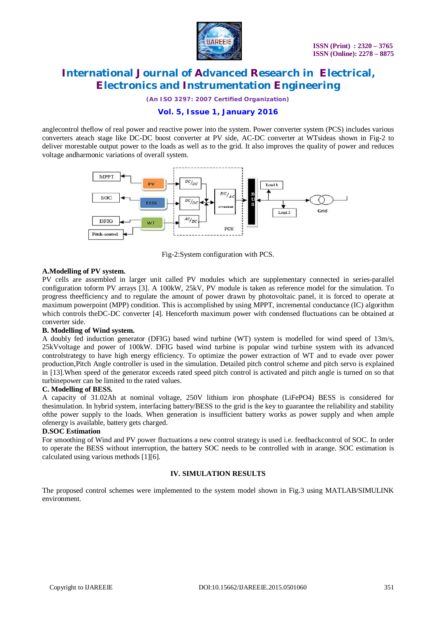

*(An ISO 3297: 2007 Certified Organization)*

## **Vol. 5, Issue 1, January 2016**

anglecontrol theflow of real power and reactive power into the system. Power converter system (PCS) includes various converters ateach stage like DC-DC boost converter at PV side, AC-DC converter at WTsideas shown in Fig-2 to deliver morestable output power to the loads as well as to the grid. It also improves the quality of power and reduces voltage andharmonic variations of overall system.



Fig-2:System configuration with PCS.

#### **A.Modelling of PV system.**

PV cells are assembled in larger unit called PV modules which are supplementary connected in series-parallel configuration toform PV arrays [3]. A 100kW, 25kV, PV module is taken as reference model for the simulation. To progress theefficiency and to regulate the amount of power drawn by photovoltaic panel, it is forced to operate at maximum powerpoint (MPP) condition. This is accomplished by using MPPT, incremental conductance (IC) algorithm which controls the DC-DC converter [4]. Henceforth maximum power with condensed fluctuations can be obtained at converter side.

#### **B. Modelling of Wind system.**

A doubly fed induction generator (DFIG) based wind turbine (WT) system is modelled for wind speed of 13m/s, 25kVvoltage and power of 100kW. DFIG based wind turbine is popular wind turbine system with its advanced controlstrategy to have high energy efficiency. To optimize the power extraction of WT and to evade over power production,Pitch Angle controller is used in the simulation. Detailed pitch control scheme and pitch servo is explained in [13].When speed of the generator exceeds rated speed pitch control is activated and pitch angle is turned on so that turbinepower can be limited to the rated values.

#### **C. Modelling of BESS.**

A capacity of 31.02Ah at nominal voltage, 250V lithium iron phosphate (LiFePO4) BESS is considered for thesimulation. In hybrid system, interfacing battery/BESS to the grid is the key to guarantee the reliability and stability ofthe power supply to the loads. When generation is insufficient battery works as power supply and when ample ofenergy is available, battery gets charged.

## **D.SOC Estimation**

For smoothing of Wind and PV power fluctuations a new control strategy is used i.e. feedbackcontrol of SOC. In order to operate the BESS without interruption, the battery SOC needs to be controlled with in arange. SOC estimation is calculated using various methods [1][6].

## **IV. SIMULATION RESULTS**

The proposed control schemes were implemented to the system model shown in Fig.3 using MATLAB/SIMULINK environment.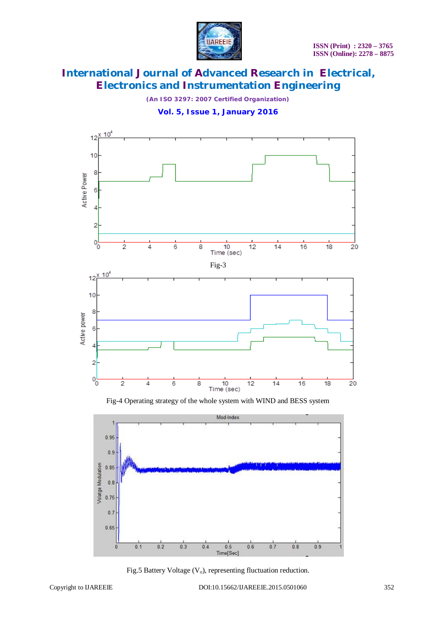

*(An ISO 3297: 2007 Certified Organization)*

**Vol. 5, Issue 1, January 2016**



Fig-4 Operating strategy of the whole system with WIND and BESS system



Fig.5 Battery Voltage  $(V_0)$ , representing fluctuation reduction.